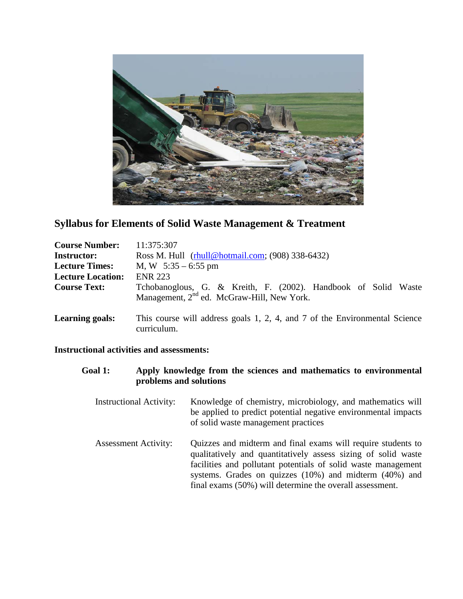

# **Syllabus for Elements of Solid Waste Management & Treatment**

| <b>Course Number:</b>    | 11:375:307                                                                                |  |  |  |
|--------------------------|-------------------------------------------------------------------------------------------|--|--|--|
| <b>Instructor:</b>       | Ross M. Hull (rhull@hotmail.com; (908) 338-6432)                                          |  |  |  |
| <b>Lecture Times:</b>    | M, W $5:35 - 6:55$ pm                                                                     |  |  |  |
| <b>Lecture Location:</b> | <b>ENR 223</b>                                                                            |  |  |  |
| <b>Course Text:</b>      | Tchobanoglous, G. & Kreith, F. (2002). Handbook of Solid Waste                            |  |  |  |
|                          | Management, 2 <sup>nd</sup> ed. McGraw-Hill, New York.                                    |  |  |  |
| <b>Learning goals:</b>   | This course will address goals 1, 2, 4, and 7 of the Environmental Science<br>curriculum. |  |  |  |

## **Instructional activities and assessments:**

| <b>Goal 1:</b> | Apply knowledge from the sciences and mathematics to environmental<br>problems and solutions |                                                                                                                                                                                                                                                                                                                          |  |  |
|----------------|----------------------------------------------------------------------------------------------|--------------------------------------------------------------------------------------------------------------------------------------------------------------------------------------------------------------------------------------------------------------------------------------------------------------------------|--|--|
|                | <b>Instructional Activity:</b>                                                               | Knowledge of chemistry, microbiology, and mathematics will<br>be applied to predict potential negative environmental impacts<br>of solid waste management practices                                                                                                                                                      |  |  |
|                | <b>Assessment Activity:</b>                                                                  | Quizzes and midterm and final exams will require students to<br>qualitatively and quantitatively assess sizing of solid waste<br>facilities and pollutant potentials of solid waste management<br>systems. Grades on quizzes $(10%)$ and midterm $(40%)$ and<br>final exams (50%) will determine the overall assessment. |  |  |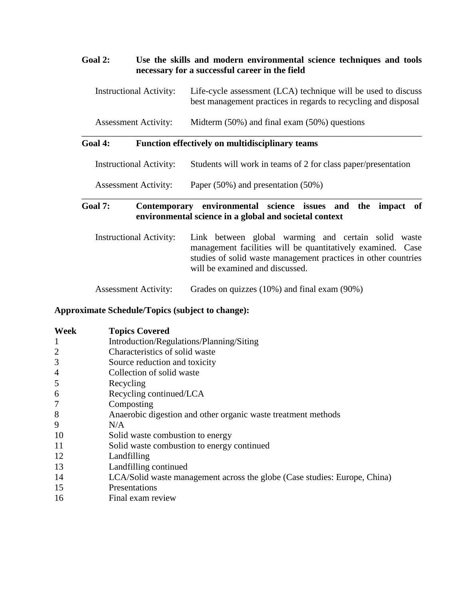## **Goal 2: Use the skills and modern environmental science techniques and tools necessary for a successful career in the field**

| <b>Instructional Activity:</b> | Life-cycle assessment (LCA) technique will be used to discuss  |
|--------------------------------|----------------------------------------------------------------|
|                                | best management practices in regards to recycling and disposal |

Assessment Activity: Midterm (50%) and final exam (50%) questions

#### **Goal 4: Function effectively on multidisciplinary teams**

Instructional Activity: Students will work in teams of 2 for class paper/presentation

\_\_\_\_\_\_\_\_\_\_\_\_\_\_\_\_\_\_\_\_\_\_\_\_\_\_\_\_\_\_\_\_\_\_\_\_\_\_\_\_\_\_\_\_\_\_\_\_\_\_\_\_\_\_\_\_\_\_\_\_\_\_\_\_\_\_\_\_\_\_\_\_\_\_\_

Assessment Activity: Paper (50%) and presentation (50%)

## **Goal 7: Contemporary environmental science issues and the impact of environmental science in a global and societal context**

\_\_\_\_\_\_\_\_\_\_\_\_\_\_\_\_\_\_\_\_\_\_\_\_\_\_\_\_\_\_\_\_\_\_\_\_\_\_\_\_\_\_\_\_\_\_\_\_\_\_\_\_\_\_\_\_\_\_\_\_\_\_\_\_\_\_\_\_\_\_\_\_\_\_\_

Instructional Activity: Link between global warming and certain solid waste management facilities will be quantitatively examined. Case studies of solid waste management practices in other countries will be examined and discussed.

Assessment Activity: Grades on quizzes (10%) and final exam (90%)

#### **Approximate Schedule/Topics (subject to change):**

| Week           | <b>Topics Covered</b>                                                     |
|----------------|---------------------------------------------------------------------------|
| 1              | Introduction/Regulations/Planning/Siting                                  |
| $\overline{2}$ | Characteristics of solid waste                                            |
| 3              | Source reduction and toxicity                                             |
| 4              | Collection of solid waste                                                 |
| 5              | Recycling                                                                 |
| 6              | Recycling continued/LCA                                                   |
| 7              | Composting                                                                |
| 8              | Anaerobic digestion and other organic waste treatment methods             |
| 9              | N/A                                                                       |
| 10             | Solid waste combustion to energy                                          |
| 11             | Solid waste combustion to energy continued                                |
| 12             | Landfilling                                                               |
| 13             | Landfilling continued                                                     |
| 14             | LCA/Solid waste management across the globe (Case studies: Europe, China) |
| 15             | Presentations                                                             |
| 16             | Final exam review                                                         |
|                |                                                                           |